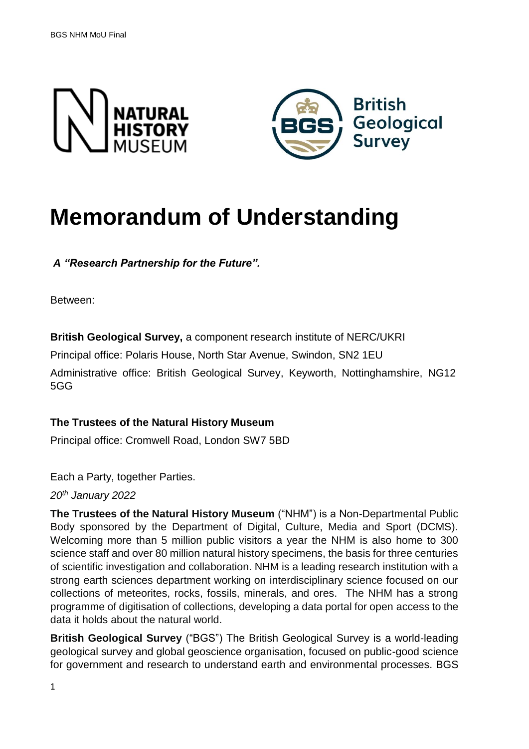



# **Memorandum of Understanding**

*A "Research Partnership for the Future".* 

Between:

**British Geological Survey,** a component research institute of NERC/UKRI

Principal office: Polaris House, North Star Avenue, Swindon, SN2 1EU

Administrative office: British Geological Survey, Keyworth, Nottinghamshire, NG12 5GG

#### **The Trustees of the Natural History Museum**

Principal office: Cromwell Road, London SW7 5BD

Each a Party, together Parties.

*20th January 2022*

**The Trustees of the Natural History Museum** ("NHM") is a Non-Departmental Public Body sponsored by the Department of Digital, Culture, Media and Sport (DCMS). Welcoming more than 5 million public visitors a year the NHM is also home to 300 science staff and over 80 million natural history specimens, the basis for three centuries of scientific investigation and collaboration. NHM is a leading research institution with a strong earth sciences department working on interdisciplinary science focused on our collections of meteorites, rocks, fossils, minerals, and ores. The NHM has a strong programme of digitisation of collections, developing a data portal for open access to the data it holds about the natural world.

**British Geological Survey** ("BGS") The British Geological Survey is a world-leading geological survey and global geoscience organisation, focused on public-good science for government and research to understand earth and environmental processes. BGS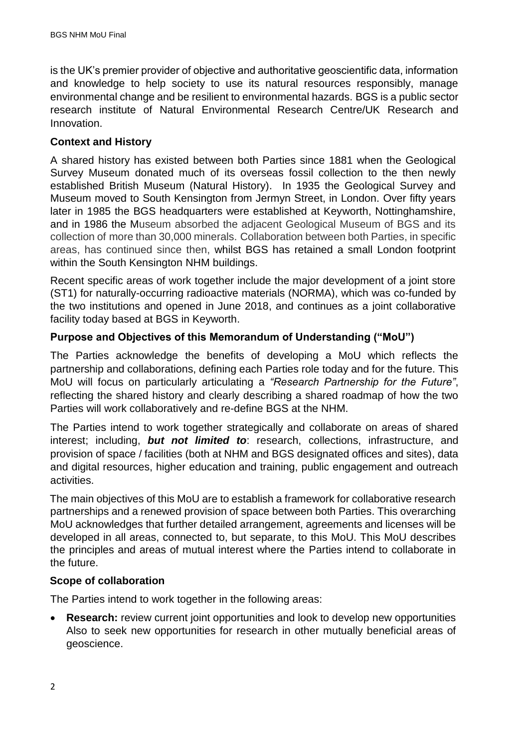is the UK's premier provider of objective and authoritative geoscientific data, information and knowledge to help society to use its natural resources responsibly, manage environmental change and be resilient to environmental hazards. BGS is a public sector research institute of Natural Environmental Research Centre/UK Research and Innovation.

### **Context and History**

A shared history has existed between both Parties since 1881 when the Geological Survey Museum donated much of its overseas fossil collection to the then newly established British Museum (Natural History). In 1935 the Geological Survey and Museum moved to South Kensington from Jermyn Street, in London. Over fifty years later in 1985 the BGS headquarters were established at Keyworth, Nottinghamshire, and in 1986 the Museum absorbed the adjacent Geological Museum of BGS and its collection of more than 30,000 minerals. Collaboration between both Parties, in specific areas, has continued since then, whilst BGS has retained a small London footprint within the South Kensington NHM buildings.

Recent specific areas of work together include the major development of a joint store (ST1) for naturally-occurring radioactive materials (NORMA), which was co-funded by the two institutions and opened in June 2018, and continues as a joint collaborative facility today based at BGS in Keyworth.

### **Purpose and Objectives of this Memorandum of Understanding ("MoU")**

The Parties acknowledge the benefits of developing a MoU which reflects the partnership and collaborations, defining each Parties role today and for the future. This MoU will focus on particularly articulating a *"Research Partnership for the Future"*, reflecting the shared history and clearly describing a shared roadmap of how the two Parties will work collaboratively and re-define BGS at the NHM.

The Parties intend to work together strategically and collaborate on areas of shared interest; including, *but not limited to*: research, collections, infrastructure, and provision of space / facilities (both at NHM and BGS designated offices and sites), data and digital resources, higher education and training, public engagement and outreach activities.

The main objectives of this MoU are to establish a framework for collaborative research partnerships and a renewed provision of space between both Parties. This overarching MoU acknowledges that further detailed arrangement, agreements and licenses will be developed in all areas, connected to, but separate, to this MoU. This MoU describes the principles and areas of mutual interest where the Parties intend to collaborate in the future.

#### **Scope of collaboration**

The Parties intend to work together in the following areas:

• **Research:** review current joint opportunities and look to develop new opportunities Also to seek new opportunities for research in other mutually beneficial areas of geoscience.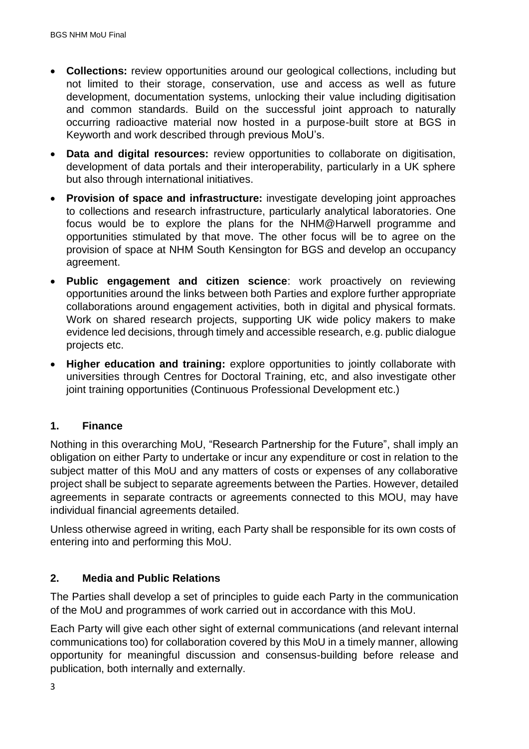- **Collections:** review opportunities around our geological collections, including but not limited to their storage, conservation, use and access as well as future development, documentation systems, unlocking their value including digitisation and common standards. Build on the successful joint approach to naturally occurring radioactive material now hosted in a purpose-built store at BGS in Keyworth and work described through previous MoU's.
- **Data and digital resources:** review opportunities to collaborate on digitisation, development of data portals and their interoperability, particularly in a UK sphere but also through international initiatives.
- **Provision of space and infrastructure:** investigate developing joint approaches to collections and research infrastructure, particularly analytical laboratories. One focus would be to explore the plans for the NHM@Harwell programme and opportunities stimulated by that move. The other focus will be to agree on the provision of space at NHM South Kensington for BGS and develop an occupancy agreement.
- **Public engagement and citizen science**: work proactively on reviewing opportunities around the links between both Parties and explore further appropriate collaborations around engagement activities, both in digital and physical formats. Work on shared research projects, supporting UK wide policy makers to make evidence led decisions, through timely and accessible research, e.g. public dialogue projects etc.
- **Higher education and training:** explore opportunities to jointly collaborate with universities through Centres for Doctoral Training, etc, and also investigate other joint training opportunities (Continuous Professional Development etc.)

# **1. Finance**

Nothing in this overarching MoU, "Research Partnership for the Future", shall imply an obligation on either Party to undertake or incur any expenditure or cost in relation to the subject matter of this MoU and any matters of costs or expenses of any collaborative project shall be subject to separate agreements between the Parties. However, detailed agreements in separate contracts or agreements connected to this MOU, may have individual financial agreements detailed.

Unless otherwise agreed in writing, each Party shall be responsible for its own costs of entering into and performing this MoU.

# **2. Media and Public Relations**

The Parties shall develop a set of principles to guide each Party in the communication of the MoU and programmes of work carried out in accordance with this MoU.

Each Party will give each other sight of external communications (and relevant internal communications too) for collaboration covered by this MoU in a timely manner, allowing opportunity for meaningful discussion and consensus-building before release and publication, both internally and externally.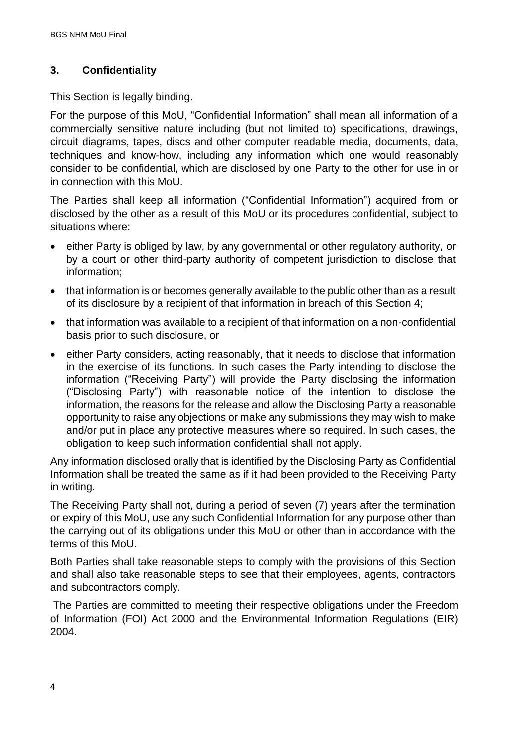# **3. Confidentiality**

This Section is legally binding.

For the purpose of this MoU, "Confidential Information" shall mean all information of a commercially sensitive nature including (but not limited to) specifications, drawings, circuit diagrams, tapes, discs and other computer readable media, documents, data, techniques and know-how, including any information which one would reasonably consider to be confidential, which are disclosed by one Party to the other for use in or in connection with this MoU.

The Parties shall keep all information ("Confidential Information") acquired from or disclosed by the other as a result of this MoU or its procedures confidential, subject to situations where:

- either Party is obliged by law, by any governmental or other regulatory authority, or by a court or other third-party authority of competent jurisdiction to disclose that information;
- that information is or becomes generally available to the public other than as a result of its disclosure by a recipient of that information in breach of this Section 4;
- that information was available to a recipient of that information on a non-confidential basis prior to such disclosure, or
- either Party considers, acting reasonably, that it needs to disclose that information in the exercise of its functions. In such cases the Party intending to disclose the information ("Receiving Party") will provide the Party disclosing the information ("Disclosing Party") with reasonable notice of the intention to disclose the information, the reasons for the release and allow the Disclosing Party a reasonable opportunity to raise any objections or make any submissions they may wish to make and/or put in place any protective measures where so required. In such cases, the obligation to keep such information confidential shall not apply.

Any information disclosed orally that is identified by the Disclosing Party as Confidential Information shall be treated the same as if it had been provided to the Receiving Party in writing.

The Receiving Party shall not, during a period of seven (7) years after the termination or expiry of this MoU, use any such Confidential Information for any purpose other than the carrying out of its obligations under this MoU or other than in accordance with the terms of this MoU.

Both Parties shall take reasonable steps to comply with the provisions of this Section and shall also take reasonable steps to see that their employees, agents, contractors and subcontractors comply.

The Parties are committed to meeting their respective obligations under the Freedom of Information (FOI) Act 2000 and the Environmental Information Regulations (EIR) 2004.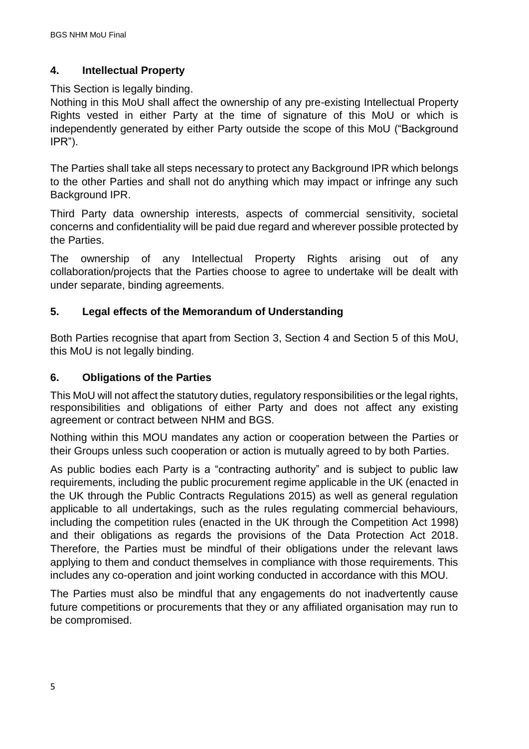# **4. Intellectual Property**

# This Section is legally binding.

Nothing in this MoU shall affect the ownership of any pre-existing Intellectual Property Rights vested in either Party at the time of signature of this MoU or which is independently generated by either Party outside the scope of this MoU ("Background IPR").

The Parties shall take all steps necessary to protect any Background IPR which belongs to the other Parties and shall not do anything which may impact or infringe any such Background IPR.

Third Party data ownership interests, aspects of commercial sensitivity, societal concerns and confidentiality will be paid due regard and wherever possible protected by the Parties.

The ownership of any Intellectual Property Rights arising out of any collaboration/projects that the Parties choose to agree to undertake will be dealt with under separate, binding agreements.

# **5. Legal effects of the Memorandum of Understanding**

Both Parties recognise that apart from Section 3, Section 4 and Section 5 of this MoU, this MoU is not legally binding.

# **6. Obligations of the Parties**

This MoU will not affect the statutory duties, regulatory responsibilities or the legal rights, responsibilities and obligations of either Party and does not affect any existing agreement or contract between NHM and BGS.

Nothing within this MOU mandates any action or cooperation between the Parties or their Groups unless such cooperation or action is mutually agreed to by both Parties.

As public bodies each Party is a "contracting authority" and is subject to public law requirements, including the public procurement regime applicable in the UK (enacted in the UK through the Public Contracts Regulations 2015) as well as general regulation applicable to all undertakings, such as the rules regulating commercial behaviours, including the competition rules (enacted in the UK through the Competition Act 1998) and their obligations as regards the provisions of the Data Protection Act 2018. Therefore, the Parties must be mindful of their obligations under the relevant laws applying to them and conduct themselves in compliance with those requirements. This includes any co-operation and joint working conducted in accordance with this MOU.

The Parties must also be mindful that any engagements do not inadvertently cause future competitions or procurements that they or any affiliated organisation may run to be compromised.